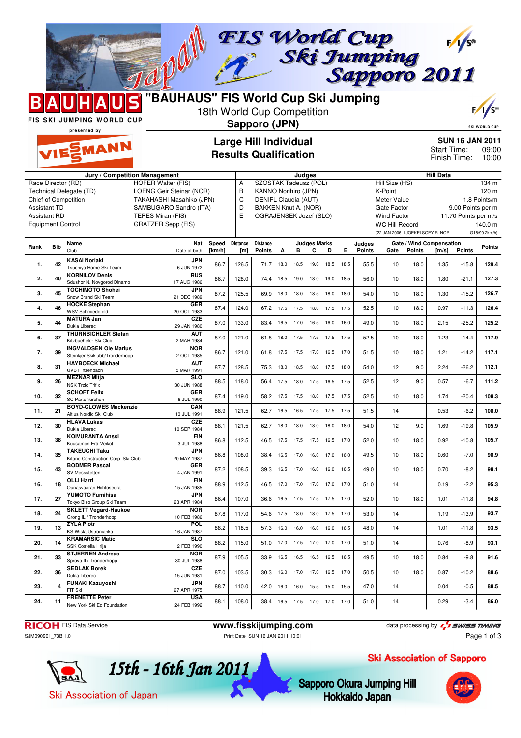

| Chief of Competition<br><b>Assistant TD</b><br><b>Assistant RD</b><br><b>Equipment Control</b> |            |                                                                         | TAKAHASHI Masahiko (JPN)<br>SAMBUGARO Sandro (ITA)<br>TEPES Miran (FIS)<br><b>GRATZER Sepp (FIS)</b> |                 |                        | DENIFL Claudia (AUT)<br>BAKKEN Knut A. (NOR)<br>OGRAJENSEK Jozef (SLO) |      |           |                          |                |      |                  | Meter Value<br>Gate Factor<br><b>Wind Factor</b><br><b>WC Hill Record</b><br>(22 JAN 2006 LJOEKELSOEY R. NOR |               | 1.8 Points/m<br>9.00 Points per m<br>11.70 Points per m/s<br>140.0 m<br>G18/90.2km/h) |               |               |
|------------------------------------------------------------------------------------------------|------------|-------------------------------------------------------------------------|------------------------------------------------------------------------------------------------------|-----------------|------------------------|------------------------------------------------------------------------|------|-----------|--------------------------|----------------|------|------------------|--------------------------------------------------------------------------------------------------------------|---------------|---------------------------------------------------------------------------------------|---------------|---------------|
| Rank                                                                                           | <b>Bib</b> | Name<br>Club                                                            | <b>Nat</b><br>Date of birth                                                                          | Speed<br>[km/h] | <b>Distance</b><br>[m] | <b>Distance</b><br><b>Points</b>                                       | Α    | в         | <b>Judges Marks</b><br>С | D              | E.   | Judges<br>Points | Gate                                                                                                         | <b>Points</b> | Gate / Wind Compensation<br>[m/s]                                                     | <b>Points</b> | <b>Points</b> |
| 1.                                                                                             | 42         | <b>KASAI Noriaki</b><br>Tsuchiya Home Ski Team                          | <b>JPN</b><br>6 JUN 1972                                                                             | 86.7            | 126.5                  | 71.7                                                                   | 18.0 | 18.5      | 19.0                     | 18.5           | 18.5 | 55.5             | 10                                                                                                           | 18.0          | 1.35                                                                                  | $-15.8$       | 129.4         |
| 2.                                                                                             | 40         | <b>KORNILOV Denis</b><br>Sdushor N. Novgorod Dinamo                     | <b>RUS</b><br>17 AUG 1986                                                                            | 86.7            | 128.0                  | 74.4                                                                   | 18.5 | 19.0      | 18.0                     | 19.0           | 18.5 | 56.0             | 10                                                                                                           | 18.0          | 1.80                                                                                  | $-21.1$       | 127.3         |
| 3.                                                                                             | 45         | <b>TOCHIMOTO Shohei</b><br>Snow Brand Ski Team                          | <b>JPN</b><br>21 DEC 1989                                                                            | 87.2            | 125.5                  | 69.9                                                                   | 18.0 | 18.0      |                          | 18.5 18.0      | 18.0 | 54.0             | 10                                                                                                           | 18.0          | 1.30                                                                                  | $-15.2$       | 126.7         |
| 4.                                                                                             | 46         | <b>HOCKE Stephan</b><br>WSV Schmiedefeld                                | <b>GER</b><br>20 OCT 1983                                                                            | 87.4            | 124.0                  | 67.2                                                                   | 17.5 | 17.5      | 18.0                     | 17.5           | 17.5 | 52.5             | 10                                                                                                           | 18.0          | 0.97                                                                                  | $-11.3$       | 126.4         |
| 5.                                                                                             | 44         | <b>MATURA Jan</b><br>Dukla Liberec                                      | <b>CZE</b><br>29 JAN 1980                                                                            | 87.0            | 133.0                  | 83.4                                                                   | 16.5 | 17.0      | 16.5                     | 16.0           | 16.0 | 49.0             | 10                                                                                                           | 18.0          | 2.15                                                                                  | $-25.2$       | 125.2         |
| 6.                                                                                             | 37         | <b>THURNBICHLER Stefan</b><br>Kitzbueheler Ski Club                     | <b>AUT</b><br>2 MAR 1984                                                                             | 87.0            | 121.0                  | 61.8                                                                   |      | 18.0 17.5 | 17.5 17.5 17.5           |                |      | 52.5             | 10                                                                                                           | 18.0          | 1.23                                                                                  | $-14.4$       | 117.9         |
| 7.                                                                                             | 39         | <b>INGVALDSEN Ole Marius</b><br>Steinkjer Skiklubb/Tronderhopp          | <b>NOR</b><br>2 OCT 1985                                                                             | 86.7            | 121.0                  | 61.8                                                                   | 17.5 | 17.5      | 17.0                     | 16.5           | 17.0 | 51.5             | 10                                                                                                           | 18.0          | 1.21                                                                                  | $-14.2$       | 117.1         |
| 8.                                                                                             | 31         | <b>HAYBOECK Michael</b><br>UVB Hinzenbach                               | <b>AUT</b><br>5 MAR 1991                                                                             | 87.7            | 128.5                  | 75.3                                                                   | 18.0 | 18.5      | 18.0                     | 17.5           | 18.0 | 54.0             | 12                                                                                                           | 9.0           | 2.24                                                                                  | $-26.2$       | 112.1         |
| 9.                                                                                             | 26         | <b>MEZNAR Mitja</b><br><b>NSK Trzic Trifix</b>                          | <b>SLO</b><br>30 JUN 1988                                                                            | 88.5            | 118.0                  | 56.4                                                                   | 17.5 | 18.0      |                          | 17.5 16.5      | 17.5 | 52.5             | 12                                                                                                           | 9.0           | 0.57                                                                                  | $-6.7$        | 111.2         |
| 10.                                                                                            | 32         | <b>SCHOFT Felix</b><br>SC Partenkirchen<br><b>BOYD-CLOWES Mackenzie</b> | <b>GER</b><br>6 JUL 1990<br>CAN                                                                      | 87.4            | 119.0                  | 58.2                                                                   | 17.5 | 17.5      | 18.0                     | 17.5           | 17.5 | 52.5             | 10                                                                                                           | 18.0          | 1.74                                                                                  | $-20.4$       | 108.3         |
| 11.                                                                                            | 21         | Altius Nordic Ski Club<br><b>HLAVA Lukas</b>                            | 13 JUL 1991<br>CZE                                                                                   | 88.9            | 121.5                  | 62.7                                                                   | 16.5 | 16.5      | 17.5                     | 17.5           | 17.5 | 51.5             | 14                                                                                                           |               | 0.53                                                                                  | $-6.2$        | 108.0         |
| 12.                                                                                            | 30         | Dukla Liberec<br><b>KOIVURANTA Anssi</b>                                | 10 SEP 1984<br><b>FIN</b>                                                                            | 88.1            | 121.5                  | 62.7                                                                   | 18.0 | 18.0      |                          | 18.0 18.0      | 18.0 | 54.0             | 12                                                                                                           | 9.0           | 1.69                                                                                  | $-19.8$       | 105.9         |
| 13.                                                                                            | 38         | Kuusamon Erä-Veikot<br><b>TAKEUCHI Taku</b>                             | 3 JUL 1988<br><b>JPN</b>                                                                             | 86.8            | 112.5                  | 46.5                                                                   | 17.5 | 17.5      | 17.5                     | 16.5           | 17.0 | 52.0             | 10                                                                                                           | 18.0          | 0.92                                                                                  | $-10.8$       | 105.7         |
| 14.                                                                                            | 35         | Kitano Construction Corp. Ski Club<br><b>BODMER Pascal</b>              | 20 MAY 1987<br><b>GER</b>                                                                            | 86.8            | 108.0                  | 38.4                                                                   | 16.5 | 17.0      | 16.0                     | 17.0           | 16.0 | 49.5             | 10                                                                                                           | 18.0          | 0.60                                                                                  | $-7.0$        | 98.9          |
| 15.                                                                                            | 43         | SV Messstetten<br><b>OLLI Harri</b>                                     | 4 JAN 1991<br>FIN                                                                                    | 87.2            | 108.5                  | 39.3                                                                   |      | 16.5 17.0 |                          | 16.0 16.0 16.5 |      | 49.0             | 10                                                                                                           | 18.0          | 0.70                                                                                  | $-8.2$        | 98.1          |
| 16.                                                                                            | 18         | Ounasvaaran Hiihtoseura<br><b>YUMOTO Fumihisa</b>                       | 15 JAN 1985<br><b>JPN</b>                                                                            | 88.9            | 112.5                  | 46.5                                                                   | 17.0 | 17.0      | 17.0                     | 17.0           | 17.0 | 51.0             | 14                                                                                                           |               | 0.19                                                                                  | $-2.2$        | 95.3          |
| 17.                                                                                            | 27         | Tokyo Biso Group Ski Team<br><b>SKLETT Vegard-Haukoe</b>                | 23 APR 1984<br><b>NOR</b>                                                                            | 86.4            | 107.0                  | 36.6                                                                   | 16.5 | 17.5      | 17.5                     | 17.5           | 17.0 | 52.0             | 10                                                                                                           | 18.0          | 1.01                                                                                  | $-11.8$       | 94.8          |
| 18.                                                                                            | 24         | Grong IL / Tronderhopp<br><b>ZYLA Piotr</b>                             | 10 FEB 1986<br><b>POL</b>                                                                            | 87.8            | 117.0                  | 54.6                                                                   | 17.5 | 18.0      |                          | 18.0 17.5 17.0 |      | 53.0             | 14                                                                                                           |               | 1.19                                                                                  | $-13.9$       | 93.7          |
| 19.                                                                                            | 13         | KS Wisla Ustronianka<br><b>KRAMARSIC Matic</b>                          | 16 JAN 1987<br><b>SLO</b>                                                                            | 88.2            | 118.5                  | 57.3                                                                   | 16.0 | 16.0      | 16.0                     | 16.0           | 16.5 | 48.0             | 14                                                                                                           |               | 1.01                                                                                  | $-11.8$       | 93.5          |
| 20.                                                                                            | 14         | SSK Costella Ilirija<br><b>STJERNEN Andreas</b>                         | 2 FEB 1990<br><b>NOR</b>                                                                             | 88.2            | 115.0                  | 51.0                                                                   | 17.0 | 17.5      | 17.0 17.0                |                | 17.0 | 51.0             | 14                                                                                                           |               | 0.76                                                                                  | $-8.9$        | 93.1          |
| 21.                                                                                            | 33         | Sprova IL/ Tronderhopp<br><b>SEDLAK Borek</b>                           | 30 JUL 1988<br><b>CZE</b>                                                                            | 87.9            | 105.5                  | 33.9                                                                   | 16.5 | 16.5      |                          | 16.5 16.5 16.5 |      | 49.5             | 10                                                                                                           | 18.0          | 0.84                                                                                  | $-9.8$        | 91.6          |
| 22.                                                                                            | 36         | Dukla Liberec<br><b>FUNAKI Kazuyoshi</b>                                | 15 JUN 1981<br><b>JPN</b>                                                                            | 87.0            | 103.5                  | 30.3                                                                   | 16.0 | 17.0      | 17.0                     | 16.5           | 17.0 | 50.5             | 10                                                                                                           | 18.0          | 0.87                                                                                  | $-10.2$       | 88.6          |
| 23.                                                                                            | 4          | FIT Ski<br><b>FRENETTE Peter</b>                                        | 27 APR 1975<br><b>USA</b>                                                                            | 88.7            | 110.0                  | 42.0                                                                   | 16.0 | 16.0      | 15.5 15.0                |                | 15.5 | 47.0             | 14                                                                                                           |               | 0.04                                                                                  | $-0.5$        | 88.5          |
| 24.                                                                                            | 11         | New York Ski Ed Foundation                                              | 24 FEB 1992                                                                                          | 88.1            | 108.0                  | 38.4                                                                   |      |           | 16.5 17.5 17.0 17.0 17.0 |                |      | 51.0             | 14                                                                                                           |               | 0.29                                                                                  | $-3.4$        | 86.0          |

**RICOH** FIS Data Service **www.fisskijumping.com** data processing by  $\frac{7}{2}$  **swiss TIMING** 

SJM090901\_73B 1.0 Print Date SUN 16 JAN 2011 10:01

Page 1 of 3

Ski Association of Sapporo

15th - 16th Jan 2011

**Sapporo Okura Jumping Hill Hokkaido Japan** 



Ski Association of Japan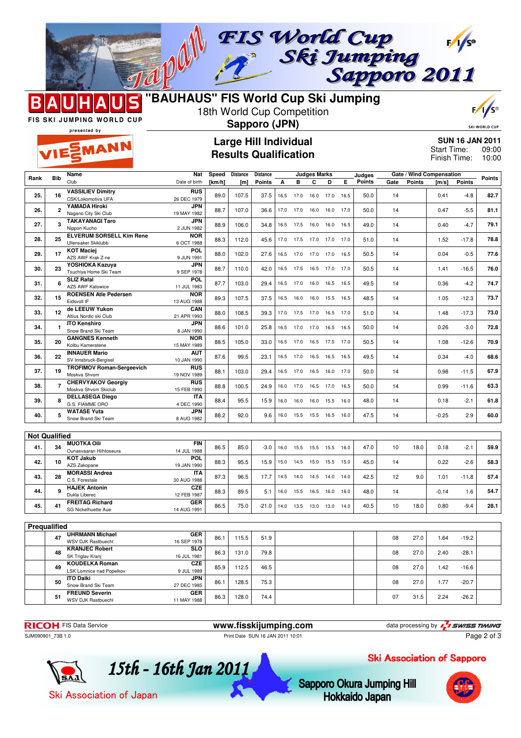



## **"BAUHAUS" FIS World Cup Ski Jumping** 18th World Cup Competition

**Sapporo (JPN)**

| с | রি<br>с |
|---|---------|
|   |         |

**SKI WORLD CUP** 

FIS SKI JUMPING WORLD CUP presented by

| n Sil<br><b>MANI</b><br>⋲⋛⋗<br>VII | ---------- |  |
|------------------------------------|------------|--|
|                                    |            |  |

## **Large Hill Individual Results Qualification**

**SUN 16 JAN 2011** 09:00 Finish Time: 10:00 Start Time:

|                      |                | Name                                           | Nat                       | Speed  | <b>Distance</b> | <b>Distance</b> |      |      | Judges Marks |           |      | Judges |      | Gate / Wind Compensation |         |               |        |
|----------------------|----------------|------------------------------------------------|---------------------------|--------|-----------------|-----------------|------|------|--------------|-----------|------|--------|------|--------------------------|---------|---------------|--------|
| Rank                 | <b>Bib</b>     | Club                                           | Date of birth             | [km/h] | [m]             | Points          | А    | в    | C            | D         | Е    | Points | Gate | Points                   | [m/s]   | <b>Points</b> | Points |
| 25.                  | 16             | <b>VASSILIEV Dimitry</b><br>CSK/Lokomotiva UFA | <b>RUS</b><br>26 DEC 1979 | 89.0   | 107.5           | 37.5            | 16.5 | 17.0 | 16.0         | 17.0      | 16.5 | 50.0   | 14   |                          | 0.41    | $-4.8$        | 82.7   |
|                      |                | YAMADA Hiroki                                  | <b>JPN</b>                |        |                 |                 |      |      |              |           |      |        |      |                          |         |               |        |
| 26.                  | $\mathbf{2}$   | Nagano City Ski Club                           | 19 MAY 1982               | 88.7   | 107.0           | 36.6            | 17.0 | 17.0 | 16.0         | 16.0      | 17.0 | 50.0   | 14   |                          | 0.47    | $-5.5$        | 81.1   |
| 27.                  | 3              | <b>TAKAYANAGI Taro</b><br>Nippon Kucho         | <b>JPN</b><br>2 JUN 1982  | 88.9   | 106.0           | 34.8            | 16.5 | 17.5 | 16.0         | 16.0      | 16.5 | 49.0   | 14   |                          | 0.40    | $-4.7$        | 79.1   |
|                      |                | <b>ELVERUM SORSELL Kim Rene</b>                | <b>NOR</b>                |        |                 |                 |      |      |              |           |      |        |      |                          |         |               |        |
| 28.                  | 25             | Ullensaker Skiklubb                            | 6 OCT 1988                | 88.3   | 112.0           | 45.6            | 17.0 | 17.5 | 17.0 17.0    |           | 17.0 | 51.0   | 14   |                          | 1.52    | $-17.8$       | 78.8   |
| 29.                  | 17             | <b>KOT Maciei</b><br>AZS AWF Krak Z-ne         | POL<br>9 JUN 1991         | 88.0   | 102.0           | 27.6            | 16.5 | 17.0 | 17.0         | 17.0      | 16.5 | 50.5   | 14   |                          | 0.04    | $-0.5$        | 77.6   |
| 30.                  | 23             | YOSHIOKA Kazuya<br>Tsuchiya Home Ski Team      | <b>JPN</b><br>9 SEP 1978  | 88.7   | 110.0           | 42.0            | 16.5 | 17.5 | 16.5         | 17.0      | 17.0 | 50.5   | 14   |                          | 1.41    | $-16.5$       | 76.0   |
|                      |                | <b>SLIZ Rafal</b>                              | <b>POL</b>                |        |                 |                 |      |      |              |           |      |        |      |                          |         |               |        |
| 31.                  | 6              | AZS AWF Katowice                               | 11 JUL 1983               | 87.7   | 103.0           | 29.4            | 16.5 | 17.0 | 16.0         | 16.5      | 16.5 | 49.5   | 14   |                          | 0.36    | $-4.2$        | 74.7   |
|                      |                | <b>ROENSEN Atle Pedersen</b>                   | <b>NOR</b>                |        |                 |                 |      |      |              |           |      |        |      |                          |         |               |        |
| 32.                  | 15             | Eidsvoll IF                                    | 13 AUG 1988               | 89.3   | 107.5           | 37.5            | 16.5 | 16.0 | 16.0         | 15.5      | 16.5 | 48.5   | 14   |                          | 1.05    | $-12.3$       | 73.7   |
| 33.                  | 12             | de LEEUW Yukon                                 | CAN                       | 88.0   | 108.5           | 39.3            | 17.0 | 17.5 | 17.0         | 16.5      | 17.0 | 51.0   | 14   |                          | 1.48    | $-17.3$       | 73.0   |
|                      |                | Altius Nordic ski Club                         | 21 APR 1993               |        |                 |                 |      |      |              |           |      |        |      |                          |         |               |        |
| 34.                  | $\mathbf{1}$   | <b>ITO Kenshiro</b><br>Snow Brand Ski Team     | <b>JPN</b><br>8 JAN 1990  | 88.6   | 101.0           | 25.8            | 16.5 | 17.0 | 17.0         | 16.5      | 16.5 | 50.0   | 14   |                          | 0.26    | $-3.0$        | 72.8   |
|                      |                | <b>GANGNES Kenneth</b>                         | <b>NOR</b>                |        |                 |                 |      |      |              |           |      |        |      |                          |         |               |        |
| 35.                  | 20             | Kolbu Kameratene                               | 15 MAY 1989               | 88.5   | 105.0           | 33.0            | 16.5 | 17.0 |              | 16.5 17.5 | 17.0 | 50.5   | 14   |                          | 1.08    | $-12.6$       | 70.9   |
|                      |                | <b>INNAUER Mario</b>                           | AUT                       |        |                 |                 |      |      |              |           |      |        |      |                          |         |               |        |
| 36.                  | 22             | SV Innsbruck-Bergisel                          | 10 JAN 1990               | 87.6   | 99.5            | 23.1            | 16.5 | 17.0 | 16.5         | 16.5      | 16.5 | 49.5   | 14   |                          | 0.34    | $-4.0$        | 68.6   |
|                      |                | <b>TROFIMOV Roman-Sergeevich</b>               | <b>RUS</b>                |        |                 |                 |      |      |              |           |      |        |      |                          |         |               |        |
| 37.                  | 19             | Moskva Shvsm                                   | 19 NOV 1989               | 88.1   | 103.0           | 29.4            | 16.5 | 17.0 | 16.5         | 16.0      | 17.0 | 50.0   | 14   |                          | 0.98    | $-11.5$       | 67.9   |
|                      |                | <b>CHERVYAKOV Georgiv</b>                      |                           |        |                 |                 |      |      |              |           |      |        |      |                          |         |               |        |
| 38.                  | $\overline{7}$ |                                                | <b>RUS</b>                | 88.8   | 100.5           | 24.9            | 16.0 | 17.0 | 16.5         | 17.0      | 16.5 | 50.0   | 14   |                          | 0.99    | $-11.6$       | 63.3   |
|                      |                | Moskva Shvsm Skiclub                           | 15 FEB 1990               |        |                 |                 |      |      |              |           |      |        |      |                          |         |               |        |
| 39.                  | 8              | <b>DELLASEGA Diego</b><br>G.S. FIAMME ORO      | <b>ITA</b><br>4 DEC 1990  | 88.4   | 95.5            | 15.9            | 16.0 | 16.0 |              | 16.0 15.5 | 16.0 | 48.0   | 14   |                          | 0.18    | $-2.1$        | 61.8   |
| 40.                  | 5              | <b>WATASE Yuta</b><br>Snow Brand Ski Team      | <b>JPN</b><br>8 AUG 1982  | 88.2   | 92.0            | 9.6             | 16.0 | 15.5 | 15.5         | 16.5      | 16.0 | 47.5   | 14   |                          | $-0.25$ | 2.9           | 60.0   |
|                      |                |                                                |                           |        |                 |                 |      |      |              |           |      |        |      |                          |         |               |        |
|                      |                |                                                |                           |        |                 |                 |      |      |              |           |      |        |      |                          |         |               |        |
| <b>Not Qualified</b> |                |                                                |                           |        |                 |                 |      |      |              |           |      |        |      |                          |         |               |        |
| 41.                  | 34             | <b>MUOTKA OIII</b>                             | FIN                       | 86.5   | 85.0            | $-3.0$          | 16.0 | 15.5 | 15.5 15.5    |           | 16.0 | 47.0   | 10   | 18.0                     | 0.18    | $-2.1$        | 59.9   |
|                      |                | Ounasvaaran Hiihtoseura                        | 14 JUL 1988               |        |                 |                 |      |      |              |           |      |        |      |                          |         |               |        |
|                      |                | <b>KOT Jakub</b>                               | POL                       |        |                 |                 |      |      |              |           |      |        |      |                          |         |               |        |
| 42.                  | 10             | AZS Zakopane                                   | 19 JAN 1990               | 88.3   | 95.5            | 15.9            | 15.0 | 14.5 | 15.0         | 15.5      | 15.0 | 45.0   | 14   |                          | 0.22    | $-2.6$        | 58.3   |
|                      |                | <b>MORASSI Andrea</b>                          | <b>ITA</b>                |        |                 |                 |      |      |              |           |      |        |      |                          |         |               |        |
| 43.                  | 28             | C.S. Forestale                                 | 30 AUG 1988               | 87.3   | 96.5            | 17.7            | 14.5 | 14.0 | 14.5 14.0    |           | 14.0 | 42.5   | 12   | 9.0                      | 1.01    | $-11.8$       | 57.4   |
|                      |                | <b>HAJEK Antonin</b>                           | CZE                       |        |                 |                 |      |      |              |           |      |        |      |                          |         |               |        |
| 44.                  | 9              | Dukla Liberec                                  | 12 FEB 1987               | 88.3   | 89.5            | 5.1             | 16.0 | 15.5 | 16.5         | 16.0      | 16.0 | 48.0   | 14   |                          | $-0.14$ | 1.6           | 54.7   |
|                      |                | <b>FREITAG Richard</b>                         | <b>GER</b>                |        |                 |                 |      |      |              |           |      |        |      |                          |         |               |        |
| 45.                  | 41             | SG Nickelhuette Aue                            | 14 AUG 1991               | 86.5   | 75.0            | $-21.0$         | 14.0 | 13.5 | 13.0         | 13.0      | 14.0 | 40.5   | 10   | 18.0                     | 0.80    | $-9.4$        | 28.1   |
|                      |                |                                                |                           |        |                 |                 |      |      |              |           |      |        |      |                          |         |               |        |
|                      |                |                                                |                           |        |                 |                 |      |      |              |           |      |        |      |                          |         |               |        |
| Prequalified         |                |                                                |                           |        |                 |                 |      |      |              |           |      |        |      |                          |         |               |        |
|                      |                | <b>UHRMANN Michael</b>                         | <b>GER</b>                |        |                 |                 |      |      |              |           |      |        |      |                          |         |               |        |
|                      | 47             | <b>WSV DJK Rastbuechl</b>                      | 16 SEP 1978               | 86.1   | 115.5           | 51.9            |      |      |              |           |      |        | 08   | 27.0                     | 1.64    | $-19.2$       |        |
|                      |                | <b>KRANJEC Robert</b>                          | <b>SLO</b>                |        |                 |                 |      |      |              |           |      |        |      |                          |         |               |        |
|                      | 48             | SK Triglav Kranj                               | 16 JUL 1981               | 86.3   | 131.0           | 79.8            |      |      |              |           |      |        | 08   | 27.0                     | 2.40    | $-28.1$       |        |
|                      |                | <b>KOUDELKA Roman</b>                          | CZE                       |        |                 |                 |      |      |              |           |      |        |      |                          |         |               |        |
|                      | 49             | LSK Lomnice nad Popelkov                       | 9 JUL 1989                | 85.9   | 112.5           | 46.5            |      |      |              |           |      |        | 08   | 27.0                     | 1.42    | $-16.6$       |        |
|                      |                | <b>ITO Daiki</b>                               | <b>JPN</b>                |        |                 |                 |      |      |              |           |      |        |      |                          |         |               |        |
|                      | 50             |                                                |                           | 86.1   | 128.5           | 75.3            |      |      |              |           |      |        | 08   | 27.0                     | 1.77    | $-20.7$       |        |
|                      |                | Snow Brand Ski Team                            | 27 DEC 1985               |        |                 |                 |      |      |              |           |      |        |      |                          |         |               |        |
|                      | 51             | <b>FREUND Severin</b>                          | <b>GER</b>                | 86.3   | 128.0           | 74.4            |      |      |              |           |      |        | 07   | 31.5                     | 2.24    | $-26.2$       |        |
|                      |                | <b>WSV DJK Rastbuechl</b>                      | 11 MAY 1988               |        |                 |                 |      |      |              |           |      |        |      |                          |         |               |        |

**RICOH** FIS Data Service **www.fisskijumping.com** data processing by  $\frac{7}{2}$  SWISS TIMING SUN090901\_73B 1.0

15th - 16th Jan 2011

Print Date SUN 16 JAN 2011 10:01

Page 2 of 3



Ski Association of Japan

Ski Association of Sapporo

Sapporo Okura Jumping Hill **Hokkaido Japan**